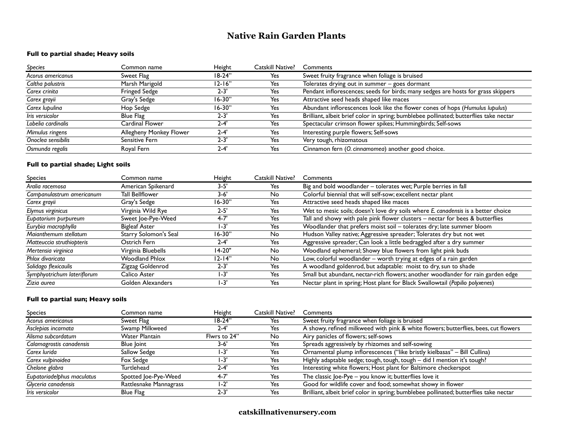# **Native Rain Garden Plants**

### **Full to partial shade; Heavy soils**

| Species            | Common name             | Height     | Catskill Native? | Comments                                                                               |
|--------------------|-------------------------|------------|------------------|----------------------------------------------------------------------------------------|
| Acorus americanus  | Sweet Flag              | $18-24"$   | Yes              | Sweet fruity fragrance when foliage is bruised                                         |
| Caltha palustris   | Marsh Marigold          | $12 - 16"$ | Yes              | Tolerates drying out in summer - goes dormant                                          |
| Carex crinita      | <b>Fringed Sedge</b>    | $2 - 3'$   | Yes              | Pendant inflorescences; seeds for birds; many sedges are hosts for grass skippers      |
| Carex grayii       | Gray's Sedge            | $16 - 30"$ | Yes              | Attractive seed heads shaped like maces                                                |
| Carex lupulina     | Hop Sedge               | $16 - 30"$ | Yes              | Abundant inflorescences look like the flower cones of hops (Humulus lupulus)           |
| Iris versicolor    | Blue Flag               | 2-3'       | Yes              | Brilliant, albeit brief color in spring; bumblebee pollinated; butterflies take nectar |
| Lobelia cardinalis | Cardinal Flower         | $2 - 4$    | Yes              | Spectacular crimson flower spikes; Hummingbirds; Self-sows                             |
| Mimulus ringens    | Allegheny Monkey Flower | $2 - 4$    | Yes              | Interesting purple flowers; Self-sows                                                  |
| Onoclea sensibilis | Sensitive Fern          | $2 - 3'$   | Yes              | Very tough, rhizomatous                                                                |
| Osmunda regalis    | Royal Fern              | $2 - 4$    | Yes              | Cinnamon fern (O. cinnamomea) another good choice.                                     |

### **Full to partial shade; Light soils**

| Species                     | Common name            | Height     | Catskill Native? | Comments                                                                          |
|-----------------------------|------------------------|------------|------------------|-----------------------------------------------------------------------------------|
| Aralia racemosa             | American Spikenard     | $3 - 5'$   | Yes              | Big and bold woodlander - tolerates wet; Purple berries in fall                   |
| Campanulastrum americanum   | <b>Tall Bellflower</b> | $3 - 6'$   | <b>No</b>        | Colorful biennial that will self-sow; excellent nectar plant                      |
| Carex grayii                | Gray's Sedge           | $16 - 30"$ | Yes              | Attractive seed heads shaped like maces                                           |
| Elymus virginicus           | Virginia Wild Rye      | $2 - 5'$   | Yes              | Wet to mesic soils; doesn't love dry soils where E. canadensis is a better choice |
| Eupatorium purpureum        | Sweet Joe-Pye-Weed     | $4 - 7$    | Yes              | Tall and showy with pale pink flower clusters - nectar for bees & butterflies     |
| Eurybia macrophylla         | <b>Bigleaf Aster</b>   | $1 - 3'$   | Yes              | Woodlander that prefers moist soil - tolerates dry; late summer bloom             |
| Maianthemum stellatum       | Starry Solomon's Seal  | $16-30"$   | No               | Hudson Valley native; Aggressive spreader; Tolerates dry but not wet              |
| Matteuccia struthiopteris   | Ostrich Fern           | $2 - 4'$   | Yes              | Aggressive spreader; Can look a little bedraggled after a dry summer              |
| Mertensia virginica         | Virginia Bluebells     | $14-20"$   | No               | Woodland ephemeral; Showy blue flowers from light pink buds                       |
| Phlox divaricata            | <b>Woodland Phlox</b>  | $12 - 14"$ | No               | Low, colorful woodlander – worth trying at edges of a rain garden                 |
| Solidago flexicaulis        | Zigzag Goldenrod       | $2 - 3'$   | Yes              | A woodland goldenrod, but adaptable: moist to dry, sun to shade                   |
| Symphyotrichum lateriflorum | Calico Aster           | I-3'       | Yes              | Small but abundant, nectar-rich flowers; another woodlander for rain garden edge  |
| Zizia aurea                 | Golden Alexanders      | $1 - 3'$   | Yes              | Nectar plant in spring; Host plant for Black Swallowtail (Papilio polyxenes)      |

#### **Full to partial sun; Heavy soils**

| <b>Species</b>             | Common name            | Height       | Catskill Native? | Comments                                                                               |
|----------------------------|------------------------|--------------|------------------|----------------------------------------------------------------------------------------|
| Acorus americanus          | Sweet Flag             | $18-24"$     | Yes              | Sweet fruity fragrance when foliage is bruised                                         |
| Asclepias incarnata        | Swamp Milkweed         | $2 - 4'$     | Yes              | A showy, refined milkweed with pink & white flowers; butterflies, bees, cut flowers    |
| Alisma subcordatum         | <b>Water Plantain</b>  | Flwrs to 24" | No.              | Airy panicles of flowers; self-sows                                                    |
| Calamagrostis canadensis   | Blue Joint             | $3 - 6'$     | Yes              | Spreads aggressively by rhizomes and self-sowing                                       |
| Carex Iurida               | Sallow Sedge           | $1 - 3'$     | Yes              | Ornamental plump inflorescences ("like bristly kielbasas" - Bill Cullina)              |
| Carex vulpinoidea          | Fox Sedge              | 1-3'         | Yes              | Highly adaptable sedge; tough, tough, tough - did I mention it's tough?                |
| Chelone glabra             | Turtlehead             | $2 - 4'$     | Yes              | Interesting white flowers; Host plant for Baltimore checkerspot                        |
| Eupatoriadelphus maculatus | Spotted Joe-Pye-Weed   | $4 - 7'$     | Yes              | The classic Joe-Pye - you know it; butterflies love it                                 |
| Glyceria canadensis        | Rattlesnake Mannagrass | $1 - 2'$     | Yes              | Good for wildlife cover and food; somewhat showy in flower                             |
| Iris versicolor            | Blue Flag              | $2 - 3'$     | Yes              | Brilliant, albeit brief color in spring; bumblebee pollinated; butterflies take nectar |

### **catskillnativenursery.com**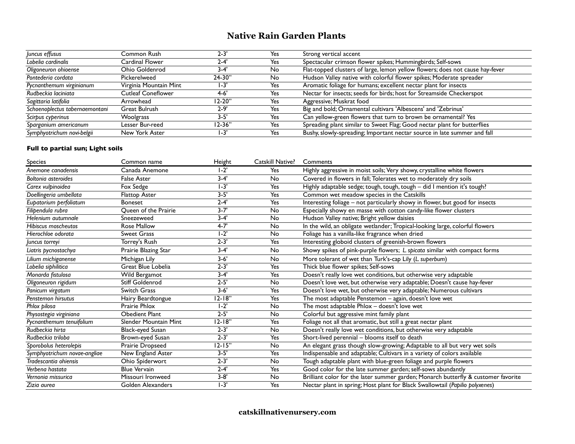## **Native Rain Garden Plants**

| Juncus effusus                 | Common Rush               | $2 - 3$  | Yes | Strong vertical accent                                                        |
|--------------------------------|---------------------------|----------|-----|-------------------------------------------------------------------------------|
| Lobelia cardinalis             | Cardinal Flower           | $2 - 4$  | Yes | Spectacular crimson flower spikes; Hummingbirds; Self-sows                    |
| Oligoneuron ohioense           | Ohio Goldenrod            | $3-4'$   | No  | Flat-topped clusters of large, lemon yellow flowers; does not cause hay-fever |
| Pontederia cordata             | Pickerelweed              | $24-30"$ | No  | Hudson Valley native with colorful flower spikes; Moderate spreader           |
| Pycnanthemum virginianum       | Virginia Mountain Mint    | 1-3      | Yes | Aromatic foliage for humans; excellent nectar plant for insects               |
| Rudbeckia laciniata            | <b>Cutleaf Coneflower</b> | $4 - 6'$ | Yes | Nectar for insects; seeds for birds; host for Streamside Checkerspot          |
| Sagittaria latifolia           | Arrowhead                 | 12-20"   | Yes | Aggressive; Muskrat food                                                      |
| Schoenoplectus tabernaemontani | Great Bulrush             | $2 - 9'$ | Yes | Big and bold; Ornamental cultivars 'Albescens' and 'Zebrinus'                 |
| Scirpus cyperinus              | <b>Woolgrass</b>          | $3 - 5'$ | Yes | Can yellow-green flowers that turn to brown be ornamental? Yes                |
| Sparganium americanum          | Lesser Bur-reed           | 12-36"   | Yes | Spreading plant similar to Sweet Flag; Good nectar plant for butterflies      |
| Symphyotrichum novi-belgii     | New York Aster            | 1-3'     | Yes | Bushy, slowly-spreading; Important nectar source in late summer and fall      |

### **Full to partial sun; Light soils**

| <b>Species</b>               | Common name                  | Height     | Catskill Native? | Comments                                                                           |
|------------------------------|------------------------------|------------|------------------|------------------------------------------------------------------------------------|
| Anemone canadensis           | Canada Anemone               | $-2'$      | Yes              | Highly aggressive in moist soils; Very showy, crystalline white flowers            |
| Boltonia asteroides          | <b>False Aster</b>           | $3 - 4'$   | <b>No</b>        | Covered in flowers in fall; Tolerates wet to moderately dry soils                  |
| Carex vulpinoidea            | Fox Sedge                    | $1 - 3'$   | Yes              | Highly adaptable sedge; tough, tough, tough - did I mention it's tough?            |
| Doellingeria umbellata       | <b>Flattop Aster</b>         | $3 - 5'$   | Yes              | Common wet meadow species in the Catskills                                         |
| Eupatorium perfoliatum       | <b>Boneset</b>               | $2 - 4'$   | Yes              | Interesting foliage - not particularly showy in flower, but good for insects       |
| Filibendula rubra            | Oueen of the Prairie         | $3 - 7'$   | <b>No</b>        | Especially showy en masse with cotton candy-like flower clusters                   |
| Helenium autumnale           | Sneezeweed                   | $3 - 4'$   | <b>No</b>        | Hudson Valley native; Bright yellow daisies                                        |
| Hibiscus moscheutos          | <b>Rose Mallow</b>           | $4 - 7'$   | No               | In the wild, an obligate wetlander; Tropical-looking large, colorful flowers       |
| Hierochloe odorata           | <b>Sweet Grass</b>           | I-2'       | <b>No</b>        | Foliage has a vanilla-like fragrance when dried                                    |
| Juncus torreyi               | Torrey's Rush                | $2 - 3'$   | Yes              | Interesting globoid clusters of greenish-brown flowers                             |
| Liatris pycnostachya         | Prairie Blazing Star         | $3 - 4'$   | No               | Showy spikes of pink-purple flowers; L. spicata similar with compact forms         |
| Lilium michiganense          | Michigan Lily                | $3 - 6'$   | No               | More tolerant of wet than Turk's-cap Lily (L. superbum)                            |
| Lobelia siphilitica          | Great Blue Lobelia           | $2 - 3'$   | Yes              | Thick blue flower spikes; Self-sows                                                |
| Monarda fistulosa            | Wild Bergamot                | $3 - 4'$   | Yes              | Doesn't really love wet conditions, but otherwise very adaptable                   |
| Oligoneuron rigidum          | <b>Stiff Goldenrod</b>       | $2 - 5'$   | No               | Doesn't love wet, but otherwise very adaptable; Doesn't cause hay-fever            |
| Panicum virgatum             | Switch Grass                 | $3 - 6'$   | Yes              | Doesn't love wet, but otherwise very adaptable; Numerous cultivars                 |
| Penstemon hirsutus           | Hairy Beardtongue            | $12 - 18"$ | Yes              | The most adaptable Penstemon - again, doesn't love wet                             |
| Phlox bilosa                 | Prairie Phlox                | $1-2"$     | No               | The most adaptable Phlox - doesn't love wet                                        |
| Physostegia virginiana       | Obedient Plant               | $2 - 5'$   | <b>No</b>        | Colorful but aggressive mint family plant                                          |
| Pycnanthemum tenuifolium     | <b>Slender Mountain Mint</b> | $12 - 18"$ | Yes              | Foliage not all that aromatic, but still a great nectar plant                      |
| Rudbeckia hirta              | Black-eyed Susan             | $2 - 3'$   | No               | Doesn't really love wet conditions, but otherwise very adaptable                   |
| Rudbeckia triloba            | Brown-eyed Susan             | $2 - 3'$   | Yes              | Short-lived perennial - blooms itself to death                                     |
| Sporobolus heterolepis       | Prairie Dropseed             | $12 - 15"$ | <b>No</b>        | An elegant grass though slow-growing; Adaptable to all but very wet soils          |
| Symphyotrichum novae-angliae | New England Aster            | $3 - 5'$   | Yes              | Indispensable and adaptable; Cultivars in a variety of colors available            |
| Tradescantia ohiensis        | Ohio Spiderwort              | $2 - 3'$   | No               | Tough adaptable plant with blue-green foliage and purple flowers                   |
| Verbena hastata              | <b>Blue Vervain</b>          | $2 - 4'$   | Yes              | Good color for the late summer garden; self-sows abundantly                        |
| Vernonia missurica           | Missouri Ironweed            | $3 - 8'$   | No               | Brilliant color for the later summer garden; Monarch butterfly & customer favorite |
| Zizia aurea                  | Golden Alexanders            | $1-3'$     | Yes              | Nectar plant in spring; Host plant for Black Swallowtail (Papilio polyxenes)       |

**catskillnativenursery.com**